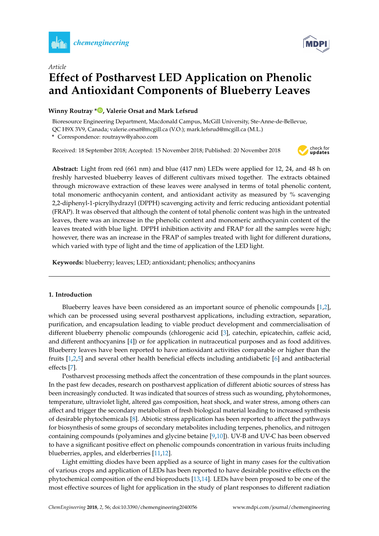



# *Article* **Effect of Postharvest LED Application on Phenolic and Antioxidant Components of Blueberry Leaves**

# **Winny Routray \* [,](https://orcid.org/0000-0003-3761-7592) Valerie Orsat and Mark Lefsrud**

Bioresource Engineering Department, Macdonald Campus, McGill University, Ste-Anne-de-Bellevue, QC H9X 3V9, Canada; valerie.orsat@mcgill.ca (V.O.); mark.lefsrud@mcgill.ca (M.L.)

**\*** Correspondence: routrayw@yahoo.com

Received: 18 September 2018; Accepted: 15 November 2018; Published: 20 November 2018



**Abstract:** Light from red (661 nm) and blue (417 nm) LEDs were applied for 12, 24, and 48 h on freshly harvested blueberry leaves of different cultivars mixed together. The extracts obtained through microwave extraction of these leaves were analysed in terms of total phenolic content, total monomeric anthocyanin content, and antioxidant activity as measured by % scavenging 2,2-diphenyl-1-picrylhydrazyl (DPPH) scavenging activity and ferric reducing antioxidant potential (FRAP). It was observed that although the content of total phenolic content was high in the untreated leaves, there was an increase in the phenolic content and monomeric anthocyanin content of the leaves treated with blue light. DPPH inhibition activity and FRAP for all the samples were high; however, there was an increase in the FRAP of samples treated with light for different durations, which varied with type of light and the time of application of the LED light.

**Keywords:** blueberry; leaves; LED; antioxidant; phenolics; anthocyanins

# **1. Introduction**

Blueberry leaves have been considered as an important source of phenolic compounds [\[1,](#page-7-0)[2\]](#page-7-1), which can be processed using several postharvest applications, including extraction, separation, purification, and encapsulation leading to viable product development and commercialisation of different blueberry phenolic compounds (chlorogenic acid [\[3\]](#page-7-2), catechin, epicatechin, caffeic acid, and different anthocyanins [\[4\]](#page-7-3)) or for application in nutraceutical purposes and as food additives. Blueberry leaves have been reported to have antioxidant activities comparable or higher than the fruits [\[1,](#page-7-0)[2,](#page-7-1)[5\]](#page-7-4) and several other health beneficial effects including antidiabetic [\[6\]](#page-7-5) and antibacterial effects [\[7\]](#page-7-6).

Postharvest processing methods affect the concentration of these compounds in the plant sources. In the past few decades, research on postharvest application of different abiotic sources of stress has been increasingly conducted. It was indicated that sources of stress such as wounding, phytohormones, temperature, ultraviolet light, altered gas composition, heat shock, and water stress, among others can affect and trigger the secondary metabolism of fresh biological material leading to increased synthesis of desirable phytochemicals [\[8\]](#page-7-7). Abiotic stress application has been reported to affect the pathways for biosynthesis of some groups of secondary metabolites including terpenes, phenolics, and nitrogen containing compounds (polyamines and glycine betaine [\[9](#page-7-8)[,10\]](#page-7-9)). UV-B and UV-C has been observed to have a significant positive effect on phenolic compounds concentration in various fruits including blueberries, apples, and elderberries [\[11,](#page-7-10)[12\]](#page-7-11).

Light emitting diodes have been applied as a source of light in many cases for the cultivation of various crops and application of LEDs has been reported to have desirable positive effects on the phytochemical composition of the end bioproducts [\[13](#page-7-12)[,14\]](#page-7-13). LEDs have been proposed to be one of the most effective sources of light for application in the study of plant responses to different radiation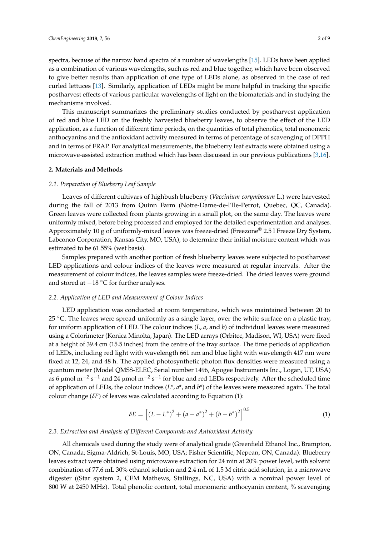spectra, because of the narrow band spectra of a number of wavelengths [\[15\]](#page-7-14). LEDs have been applied as a combination of various wavelengths, such as red and blue together, which have been observed to give better results than application of one type of LEDs alone, as observed in the case of red curled lettuces [\[13\]](#page-7-12). Similarly, application of LEDs might be more helpful in tracking the specific postharvest effects of various particular wavelengths of light on the biomaterials and in studying the mechanisms involved.

This manuscript summarizes the preliminary studies conducted by postharvest application of red and blue LED on the freshly harvested blueberry leaves, to observe the effect of the LED application, as a function of different time periods, on the quantities of total phenolics, total monomeric anthocyanins and the antioxidant activity measured in terms of percentage of scavenging of DPPH and in terms of FRAP. For analytical measurements, the blueberry leaf extracts were obtained using a microwave-assisted extraction method which has been discussed in our previous publications [\[3](#page-7-2)[,16\]](#page-7-15).

#### **2. Materials and Methods**

## *2.1. Preparation of Blueberry Leaf Sample*

Leaves of different cultivars of highbush blueberry (*Vaccinium corymbosum* L.) were harvested during the fall of 2013 from Quinn Farm (Notre-Dame-de-l'Ile-Perrot, Quebec, QC, Canada). Green leaves were collected from plants growing in a small plot, on the same day. The leaves were uniformly mixed, before being processed and employed for the detailed experimentation and analyses. Approximately 10 g of uniformly-mixed leaves was freeze-dried (Freezone® 2.5 l Freeze Dry System, Labconco Corporation, Kansas City, MO, USA), to determine their initial moisture content which was estimated to be 61.55% (wet basis).

Samples prepared with another portion of fresh blueberry leaves were subjected to postharvest LED applications and colour indices of the leaves were measured at regular intervals. After the measurement of colour indices, the leaves samples were freeze-dried. The dried leaves were ground and stored at  $-18$  °C for further analyses.

### *2.2. Application of LED and Measurement of Colour Indices*

LED application was conducted at room temperature, which was maintained between 20 to 25  $°C$ . The leaves were spread uniformly as a single layer, over the white surface on a plastic tray, for uniform application of LED. The colour indices (*L*, *a*, and *b*) of individual leaves were measured using a Colorimeter (Konica Minolta, Japan). The LED arrays (Orbitec, Madison, WI, USA) were fixed at a height of 39.4 cm (15.5 inches) from the centre of the tray surface. The time periods of application of LEDs, including red light with wavelength 661 nm and blue light with wavelength 417 nm were fixed at 12, 24, and 48 h. The applied photosynthetic photon flux densities were measured using a quantum meter (Model QMSS-ELEC, Serial number 1496, Apogee Instruments Inc., Logan, UT, USA) as 6 µmol m<sup>-2</sup> s<sup>-1</sup> and 24 µmol m<sup>-2</sup> s<sup>-1</sup> for blue and red LEDs respectively. After the scheduled time of application of LEDs, the colour indices (*L*\*, *a*\*, and *b*\*) of the leaves were measured again. The total colour change ( $\delta E$ ) of leaves was calculated according to Equation (1):

$$
\delta E = \left[ (L - L^*)^2 + (a - a^*)^2 + (b - b^*)^2 \right]^{0.5}
$$
 (1)

#### *2.3. Extraction and Analysis of Different Compounds and Antioxidant Activity*

All chemicals used during the study were of analytical grade (Greenfield Ethanol Inc., Brampton, ON, Canada; Sigma-Aldrich, St-Louis, MO, USA; Fisher Scientific, Nepean, ON, Canada). Blueberry leaves extract were obtained using microwave extraction for 24 min at 20% power level, with solvent combination of 77.6 mL 30% ethanol solution and 2.4 mL of 1.5 M citric acid solution, in a microwave digester ((Star system 2, CEM Mathews, Stallings, NC, USA) with a nominal power level of 800 W at 2450 MHz). Total phenolic content, total monomeric anthocyanin content, % scavenging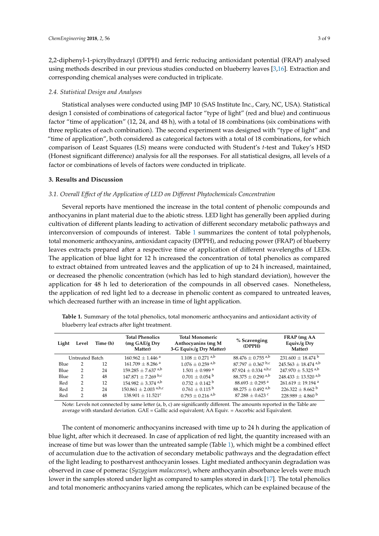2,2-diphenyl-1-picrylhydrazyl (DPPH) and ferric reducing antioxidant potential (FRAP) analysed using methods described in our previous studies conducted on blueberry leaves [\[3](#page-7-2)[,16\]](#page-7-15). Extraction and corresponding chemical analyses were conducted in triplicate.

## *2.4. Statistical Design and Analyses*

Statistical analyses were conducted using JMP 10 (SAS Institute Inc., Cary, NC, USA). Statistical design 1 consisted of combinations of categorical factor "type of light" (red and blue) and continuous factor "time of application" (12, 24, and 48 h), with a total of 18 combinations (six combinations with three replicates of each combination). The second experiment was designed with "type of light" and "time of application", both considered as categorical factors with a total of 18 combinations, for which comparison of Least Squares (LS) means were conducted with Student's *t*-test and Tukey's HSD (Honest significant difference) analysis for all the responses. For all statistical designs, all levels of a factor or combinations of levels of factors were conducted in triplicate.

## **3. Results and Discussion**

## *3.1. Overall Effect of the Application of LED on Different Phytochemicals Concentration*

Several reports have mentioned the increase in the total content of phenolic compounds and anthocyanins in plant material due to the abiotic stress. LED light has generally been applied during cultivation of different plants leading to activation of different secondary metabolic pathways and interconversion of compounds of interest. Table [1](#page-2-0) summarizes the content of total polyphenols, total monomeric anthocyanins, antioxidant capacity (DPPH), and reducing power (FRAP) of blueberry leaves extracts prepared after a respective time of application of different wavelengths of LEDs. The application of blue light for 12 h increased the concentration of total phenolics as compared to extract obtained from untreated leaves and the application of up to 24 h increased, maintained, or decreased the phenolic concentration (which has led to high standard deviation), however the application for 48 h led to deterioration of the compounds in all observed cases. Nonetheless, the application of red light led to a decrease in phenolic content as compared to untreated leaves, which decreased further with an increase in time of light application.

| Light           | Level | Time (h) | <b>Total Phenolics</b><br>(mg GAE/g Dry<br>Matter) | <b>Total Monomeric</b><br>Anthocyanins (mg M<br>3-G Equiv./g Dry Matter) | % Scavenging<br>(DPPH)            | FRAP (mg AA<br>Equiv./g Dry<br>Matter) |
|-----------------|-------|----------|----------------------------------------------------|--------------------------------------------------------------------------|-----------------------------------|----------------------------------------|
| Untreated Batch |       |          | $160.962 \pm 1.446$ <sup>a</sup>                   | $1.108 + 0.271$ <sup>a,b</sup>                                           | $88.476 \pm 0.755$ <sup>a,b</sup> | $231.600 \pm 18.474$ <sup>b</sup>      |
| Blue            |       | 12       | $161.709 \pm 8.286$ <sup>a</sup>                   | $1.076 \pm 0.259$ <sup>a,b</sup>                                         | $87.797 \pm 0.367$ b,c            | $245.563 \pm 18.474$ <sup>a,b</sup>    |
| Blue            | 2     | 24       | $159.285 \pm 7.637$ <sup>a,b</sup>                 | $1.501 \pm 0.989$ <sup>a</sup>                                           | 87.924 $\pm$ 0.334 a,b,c          | $247.970 \pm 5.325$ <sup>a,b</sup>     |
| Blue            | 2     | 48       | $147.871 \pm 7.269$ b,c                            | $0.701 \pm 0.054$ b                                                      | $88.375 \pm 0.290$ <sup>a,b</sup> | $248.433 \pm 13.520$ <sup>a,b</sup>    |
| Red             | 2     | 12       | $154.982 \pm 3.374$ <sup>a,b</sup>                 | $0.732 \pm 0.142$ <sup>b</sup>                                           | $88.693 \pm 0.295$ <sup>a</sup>   | $261.619 \pm 19.194$ <sup>a</sup>      |
| Red             | 2     | 24       | $150.861 \pm 2.003$ a,b,c                          | $0.761 \pm 0.115$ <sup>b</sup>                                           | $88.275 \pm 0.492$ <sup>a,b</sup> | $226.322 \pm 8.662$ <sup>b</sup>       |
| Red             | 2     | 48       | $138.901 \pm 11.521$ <sup>c</sup>                  | $0.793 \pm 0.216$ <sup>a,b</sup>                                         | $87.288 \pm 0.623$ c              | $228.989 \pm 4.860^{\mathrm{b}}$       |

<span id="page-2-0"></span>**Table 1.** Summary of the total phenolics, total monomeric anthocyanins and antioxidant activity of blueberry leaf extracts after light treatment.

Note: Levels not connected by same letter (a, b, c) are significantly different. The amounts reported in the Table are average with standard deviation. GAE = Gallic acid equivalent; AA Equiv. = Ascorbic acid Equivalent.

The content of monomeric anthocyanins increased with time up to 24 h during the application of blue light, after which it decreased. In case of application of red light, the quantity increased with an increase of time but was lower than the untreated sample (Table [1\)](#page-2-0), which might be a combined effect of accumulation due to the activation of secondary metabolic pathways and the degradation effect of the light leading to postharvest anthocyanin losses. Light mediated anthocyanin degradation was observed in case of pomerac (*Syzygium malaccense*), where anthocyanin absorbance levels were much lower in the samples stored under light as compared to samples stored in dark [\[17\]](#page-7-16). The total phenolics and total monomeric anthocyanins varied among the replicates, which can be explained because of the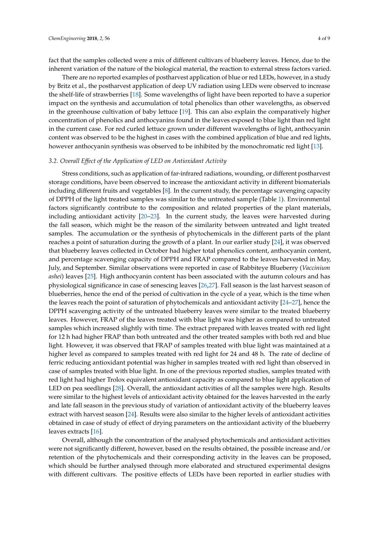fact that the samples collected were a mix of different cultivars of blueberry leaves. Hence, due to the inherent variation of the nature of the biological material, the reaction to external stress factors varied.

There are no reported examples of postharvest application of blue or red LEDs, however, in a study by Britz et al., the postharvest application of deep UV radiation using LEDs were observed to increase the shelf-life of strawberries [\[18\]](#page-8-0). Some wavelengths of light have been reported to have a superior impact on the synthesis and accumulation of total phenolics than other wavelengths, as observed in the greenhouse cultivation of baby lettuce [\[19\]](#page-8-1). This can also explain the comparatively higher concentration of phenolics and anthocyanins found in the leaves exposed to blue light than red light in the current case. For red curled lettuce grown under different wavelengths of light, anthocyanin content was observed to be the highest in cases with the combined application of blue and red lights, however anthocyanin synthesis was observed to be inhibited by the monochromatic red light [\[13\]](#page-7-12).

# *3.2. Overall Effect of the Application of LED on Antioxidant Activity*

Stress conditions, such as application of far-infrared radiations, wounding, or different postharvest storage conditions, have been observed to increase the antioxidant activity in different biomaterials including different fruits and vegetables [\[8\]](#page-7-7). In the current study, the percentage scavenging capacity of DPPH of the light treated samples was similar to the untreated sample (Table [1\)](#page-2-0). Environmental factors significantly contribute to the composition and related properties of the plant materials, including antioxidant activity [\[20](#page-8-2)[–23\]](#page-8-3). In the current study, the leaves were harvested during the fall season, which might be the reason of the similarity between untreated and light treated samples. The accumulation or the synthesis of phytochemicals in the different parts of the plant reaches a point of saturation during the growth of a plant. In our earlier study [\[24\]](#page-8-4), it was observed that blueberry leaves collected in October had higher total phenolics content, anthocyanin content, and percentage scavenging capacity of DPPH and FRAP compared to the leaves harvested in May, July, and September. Similar observations were reported in case of Rabbiteye Blueberry (*Vaccinium ashei*) leaves [\[25\]](#page-8-5). High anthocyanin content has been associated with the autumn colours and has physiological significance in case of senescing leaves [\[26](#page-8-6)[,27\]](#page-8-7). Fall season is the last harvest season of blueberries, hence the end of the period of cultivation in the cycle of a year, which is the time when the leaves reach the point of saturation of phytochemicals and antioxidant activity [\[24–](#page-8-4)[27\]](#page-8-7), hence the DPPH scavenging activity of the untreated blueberry leaves were similar to the treated blueberry leaves. However, FRAP of the leaves treated with blue light was higher as compared to untreated samples which increased slightly with time. The extract prepared with leaves treated with red light for 12 h had higher FRAP than both untreated and the other treated samples with both red and blue light. However, it was observed that FRAP of samples treated with blue light was maintained at a higher level as compared to samples treated with red light for 24 and 48 h. The rate of decline of ferric reducing antioxidant potential was higher in samples treated with red light than observed in case of samples treated with blue light. In one of the previous reported studies, samples treated with red light had higher Trolox equivalent antioxidant capacity as compared to blue light application of LED on pea seedlings [\[28\]](#page-8-8). Overall, the antioxidant activities of all the samples were high. Results were similar to the highest levels of antioxidant activity obtained for the leaves harvested in the early and late fall season in the previous study of variation of antioxidant activity of the blueberry leaves extract with harvest season [\[24\]](#page-8-4). Results were also similar to the higher levels of antioxidant activities obtained in case of study of effect of drying parameters on the antioxidant activity of the blueberry leaves extracts [\[16\]](#page-7-15).

Overall, although the concentration of the analysed phytochemicals and antioxidant activities were not significantly different, however, based on the results obtained, the possible increase and/or retention of the phytochemicals and their corresponding activity in the leaves can be proposed, which should be further analysed through more elaborated and structured experimental designs with different cultivars. The positive effects of LEDs have been reported in earlier studies with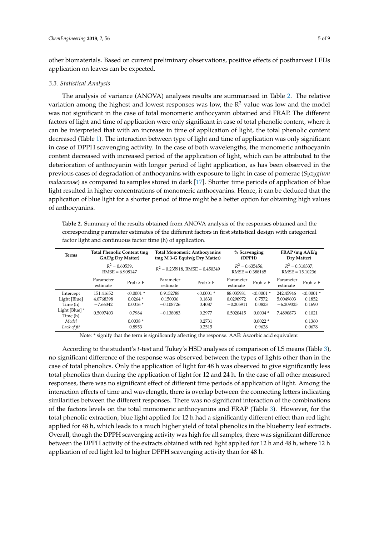other biomaterials. Based on current preliminary observations, positive effects of postharvest LEDs application on leaves can be expected.

## *3.3. Statistical Analysis*

The analysis of variance (ANOVA) analyses results are summarised in Table [2.](#page-4-0) The relative variation among the highest and lowest responses was low, the  $R<sup>2</sup>$  value was low and the model was not significant in the case of total monomeric anthocyanin obtained and FRAP. The different factors of light and time of application were only significant in case of total phenolic content, where it can be interpreted that with an increase in time of application of light, the total phenolic content decreased (Table [1\)](#page-2-0). The interaction between type of light and time of application was only significant in case of DPPH scavenging activity. In the case of both wavelengths, the monomeric anthocyanin content decreased with increased period of the application of light, which can be attributed to the deterioration of anthocyanin with longer period of light application, as has been observed in the previous cases of degradation of anthocyanins with exposure to light in case of pomerac (*Syzygium malaccense*) as compared to samples stored in dark [\[17\]](#page-7-16). Shorter time periods of application of blue light resulted in higher concentrations of monomeric anthocyanins. Hence, it can be deduced that the application of blue light for a shorter period of time might be a better option for obtaining high values of anthocyanins.

<span id="page-4-0"></span>**Table 2.** Summary of the results obtained from ANOVA analysis of the responses obtained and the corresponding parameter estimates of the different factors in first statistical design with categorical factor light and continuous factor time (h) of application.

| <b>Terms</b>               | <b>Total Phenolic Content (mg)</b><br>GAE/g Dry Matter) |              | <b>Total Monomeric Anthocyanins</b><br>(mg M 3-G Equiv/g Dry Matter) | % Scavenging<br>(DPPH) |                                         | FRAP (mg AAE/g<br>Dry Matter) |                                         |              |
|----------------------------|---------------------------------------------------------|--------------|----------------------------------------------------------------------|------------------------|-----------------------------------------|-------------------------------|-----------------------------------------|--------------|
|                            | $R^2 = 0.60539$ ,<br>$RMSE = 6.908147$                  |              | $R^2 = 0.235918$ , RMSE = 0.450349                                   |                        | $R^2 = 0.635456$ ,<br>$RMSE = 0.388165$ |                               | $R^2 = 0.318337$ ,<br>$RMSE = 15.10236$ |              |
|                            | Parameter<br>estimate                                   | Prob > F     | Parameter<br>estimate                                                | Prob > F               | Parameter<br>estimate                   | Prob > F                      | Parameter<br>estimate                   | Prob > F     |
| Intercept                  | 151.41652                                               | $< 0.0001$ * | 0.9152788                                                            | $< 0.0001$ *           | 88.035981                               | $< 0.0001$ *                  | 242.45946                               | $< 0.0001$ * |
| Light [Blue]               | 4.0768398                                               | $0.0264*$    | 0.150036                                                             | 0.1830                 | 0.0290972                               | 0.7572                        | 5.0049603                               | 0.1852       |
| Time (h)                   | $-7.66342$                                              | $0.0016*$    | $-0.108726$                                                          | 0.4087                 | $-0.205911$                             | 0.0823                        | $-6.209325$                             | 0.1690       |
| Light [Blue] *<br>Time (h) | 0.5097403                                               | 0.7984       | $-0.138083$                                                          | 0.2977                 | 0.5020415                               | $0.0004*$                     | 7.4890873                               | 0.1021       |
| Model                      |                                                         | $0.0038*$    |                                                                      | 0.2731                 |                                         | $0.0022*$                     |                                         | 0.1360       |
| Lack of fit                |                                                         | 0.8953       |                                                                      | 0.2515                 |                                         | 0.9628                        |                                         | 0.0678       |

Note: \* signify that the term is significantly affecting the response. AAE: Ascorbic acid equivalent

According to the student's *t*-test and Tukey's HSD analyses of comparison of LS means (Table [3\)](#page-5-0), no significant difference of the response was observed between the types of lights other than in the case of total phenolics. Only the application of light for 48 h was observed to give significantly less total phenolics than during the application of light for 12 and 24 h. In the case of all other measured responses, there was no significant effect of different time periods of application of light. Among the interaction effects of time and wavelength, there is overlap between the connecting letters indicating similarities between the different responses. There was no significant interaction of the combinations of the factors levels on the total monomeric anthocyanins and FRAP (Table [3\)](#page-5-0). However, for the total phenolic extraction, blue light applied for 12 h had a significantly different effect than red light applied for 48 h, which leads to a much higher yield of total phenolics in the blueberry leaf extracts. Overall, though the DPPH scavenging activity was high for all samples, there was significant difference between the DPPH activity of the extracts obtained with red light applied for 12 h and 48 h, where 12 h application of red light led to higher DPPH scavenging activity than for 48 h.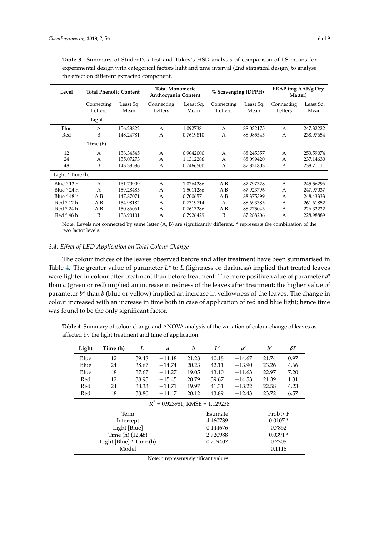| Level              | <b>Total Phenolic Content</b> |                   | <b>Total Monomeric</b><br><b>Anthocyanin Content</b> |                   | % Scavenging (DPPH)   |                   | FRAP (mg AAE/g Dry<br>Matter) |                   |
|--------------------|-------------------------------|-------------------|------------------------------------------------------|-------------------|-----------------------|-------------------|-------------------------------|-------------------|
|                    | Connecting<br>Letters         | Least Sq.<br>Mean | Connecting<br>Letters                                | Least Sq.<br>Mean | Connecting<br>Letters | Least Sq.<br>Mean | Connecting<br>Letters         | Least Sq.<br>Mean |
|                    | Light                         |                   |                                                      |                   |                       |                   |                               |                   |
| Blue               | A                             | 156.28822         | $\overline{A}$                                       | 1.0927381         | A                     | 88.032175         | $\overline{A}$                | 247.32222         |
| Red                | B                             | 148.24781         | А                                                    | 0.7619810         | А                     | 88.085545         | A                             | 238.97654         |
|                    | Time (h)                      |                   |                                                      |                   |                       |                   |                               |                   |
| 12                 | A                             | 158.34545         | $\overline{A}$                                       | 0.9042000         | A                     | 88.245357         | A                             | 253.59074         |
| 24                 | A                             | 155.07273         | A                                                    | 1.1312286         | A                     | 88.099420         | A                             | 237.14630         |
| 48                 | B                             | 143.38586         | A                                                    | 0.7466500         | А                     | 87.831803         | A                             | 238.71111         |
| Light $*$ Time (h) |                               |                   |                                                      |                   |                       |                   |                               |                   |
| Blue * 12 h        | $\mathsf{A}$                  | 161.70909         | A                                                    | 1.0764286         | A B                   | 87.797328         | $\mathsf{A}$                  | 245.56296         |
| Blue * 24 h        | A                             | 159.28485         | A                                                    | 1.5011286         | A <sub>B</sub>        | 87.923796         | A                             | 247.97037         |
| Blue * 48 h        | A B                           | 147.87071         | А                                                    | 0.7006571         | A B                   | 88.375399         | A                             | 248.43333         |
| Red * 12 h         | A B                           | 154.98182         | $\mathsf{A}$                                         | 0.7319714         | A                     | 88.693385         | A                             | 261.61852         |
| Red * 24 h         | A B                           | 150.86061         | A                                                    | 0.7613286         | A B                   | 88.275043         | A                             | 226.32222         |
| Red * 48 h         | B                             | 138.90101         | А                                                    | 0.7926429         | B                     | 87.288206         | А                             | 228.98889         |

<span id="page-5-0"></span>**Table 3.** Summary of Student's *t*-test and Tukey's HSD analysis of comparison of LS means for experimental design with categorical factors light and time interval (2nd statistical design) to analyse the effect on different extracted component.

Note: Levels not connected by same letter (A, B) are significantly different. \* represents the combination of the two factor levels.

# *3.4. Effect of LED Application on Total Colour Change*

The colour indices of the leaves observed before and after treatment have been summarised in Table [4.](#page-5-1) The greater value of parameter *L*\* to *L* (lightness or darkness) implied that treated leaves were lighter in colour after treatment than before treatment. The more positive value of parameter *a*\* than *a* (green or red) implied an increase in redness of the leaves after treatment; the higher value of parameter *b*\* than *b* (blue or yellow) implied an increase in yellowness of the leaves. The change in colour increased with an increase in time both in case of application of red and blue light; hence time was found to be the only significant factor.

<span id="page-5-1"></span>**Table 4.** Summary of colour change and ANOVA analysis of the variation of colour change of leaves as affected by the light treatment and time of application.

| Light                             | Time (h)                | L        | a        | b         | L'        | $a^{\prime}$ | b'    | $\delta E$ |  |  |
|-----------------------------------|-------------------------|----------|----------|-----------|-----------|--------------|-------|------------|--|--|
| Blue                              | 12                      | 39.48    | $-14.18$ | 21.28     | 40.18     | $-14.67$     | 21.74 | 0.97       |  |  |
| Blue                              | 24                      | 38.67    | $-14.74$ | 20.23     | 42.11     | $-13.90$     | 23.26 | 4.66       |  |  |
| Blue                              | 48                      | 37.67    | $-14.27$ | 19.05     | 43.10     | $-11.63$     | 22.97 | 7.20       |  |  |
| Red                               | 12                      | 38.95    | $-15.45$ | 20.79     | 39.67     | $-14.53$     | 21.39 | 1.31       |  |  |
| Red                               | 24                      | 38.33    | $-14.71$ | 19.97     | 41.31     | $-13.22$     | 22.58 | 4.23       |  |  |
| Red                               | 48                      | 38.80    | $-14.47$ | 20.12     | 43.89     | $-12.43$     | 23.72 | 6.57       |  |  |
| $R^2$ = 0.923981, RMSE = 1.129238 |                         |          |          |           |           |              |       |            |  |  |
|                                   | Term                    |          |          |           | Estimate  |              |       | Prob > F   |  |  |
|                                   | Intercept               |          | 4.460739 | $0.0107*$ |           |              |       |            |  |  |
|                                   | Light [Blue]            | 0.144676 |          |           | 0.7852    |              |       |            |  |  |
|                                   | Time (h) (12,48)        | 2.720988 |          |           | $0.0391*$ |              |       |            |  |  |
|                                   | Light [Blue] * Time (h) | 0.219407 |          |           | 0.7305    |              |       |            |  |  |
|                                   | Model                   |          |          |           | 0.1118    |              |       |            |  |  |

Note: \* represents significant values.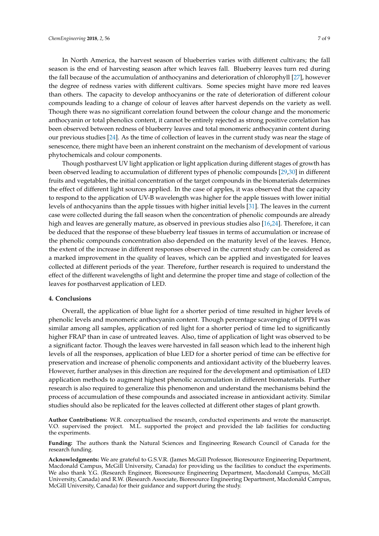In North America, the harvest season of blueberries varies with different cultivars; the fall season is the end of harvesting season after which leaves fall. Blueberry leaves turn red during the fall because of the accumulation of anthocyanins and deterioration of chlorophyll [\[27\]](#page-8-7), however the degree of redness varies with different cultivars. Some species might have more red leaves than others. The capacity to develop anthocyanins or the rate of deterioration of different colour compounds leading to a change of colour of leaves after harvest depends on the variety as well. Though there was no significant correlation found between the colour change and the monomeric anthocyanin or total phenolics content, it cannot be entirely rejected as strong positive correlation has been observed between redness of blueberry leaves and total monomeric anthocyanin content during our previous studies [\[24\]](#page-8-4). As the time of collection of leaves in the current study was near the stage of senescence, there might have been an inherent constraint on the mechanism of development of various phytochemicals and colour components.

Though postharvest UV light application or light application during different stages of growth has been observed leading to accumulation of different types of phenolic compounds [\[29,](#page-8-9)[30\]](#page-8-10) in different fruits and vegetables, the initial concentration of the target compounds in the biomaterials determines the effect of different light sources applied. In the case of apples, it was observed that the capacity to respond to the application of UV-B wavelength was higher for the apple tissues with lower initial levels of anthocyanins than the apple tissues with higher initial levels [\[31\]](#page-8-11). The leaves in the current case were collected during the fall season when the concentration of phenolic compounds are already high and leaves are generally mature, as observed in previous studies also [\[16,](#page-7-15)[24\]](#page-8-4). Therefore, it can be deduced that the response of these blueberry leaf tissues in terms of accumulation or increase of the phenolic compounds concentration also depended on the maturity level of the leaves. Hence, the extent of the increase in different responses observed in the current study can be considered as a marked improvement in the quality of leaves, which can be applied and investigated for leaves collected at different periods of the year. Therefore, further research is required to understand the effect of the different wavelengths of light and determine the proper time and stage of collection of the leaves for postharvest application of LED.

# **4. Conclusions**

Overall, the application of blue light for a shorter period of time resulted in higher levels of phenolic levels and monomeric anthocyanin content. Though percentage scavenging of DPPH was similar among all samples, application of red light for a shorter period of time led to significantly higher FRAP than in case of untreated leaves. Also, time of application of light was observed to be a significant factor. Though the leaves were harvested in fall season which lead to the inherent high levels of all the responses, application of blue LED for a shorter period of time can be effective for preservation and increase of phenolic components and antioxidant activity of the blueberry leaves. However, further analyses in this direction are required for the development and optimisation of LED application methods to augment highest phenolic accumulation in different biomaterials. Further research is also required to generalize this phenomenon and understand the mechanisms behind the process of accumulation of these compounds and associated increase in antioxidant activity. Similar studies should also be replicated for the leaves collected at different other stages of plant growth.

**Author Contributions:** W.R. conceptualised the research, conducted experiments and wrote the manuscript. V.O. supervised the project. M.L. supported the project and provided the lab facilities for conducting the experiments.

**Funding:** The authors thank the Natural Sciences and Engineering Research Council of Canada for the research funding.

**Acknowledgments:** We are grateful to G.S.V.R. (James McGill Professor, Bioresource Engineering Department, Macdonald Campus, McGill University, Canada) for providing us the facilities to conduct the experiments. We also thank Y.G. (Research Engineer, Bioresource Engineering Department, Macdonald Campus, McGill University, Canada) and R.W. (Research Associate, Bioresource Engineering Department, Macdonald Campus, McGill University, Canada) for their guidance and support during the study.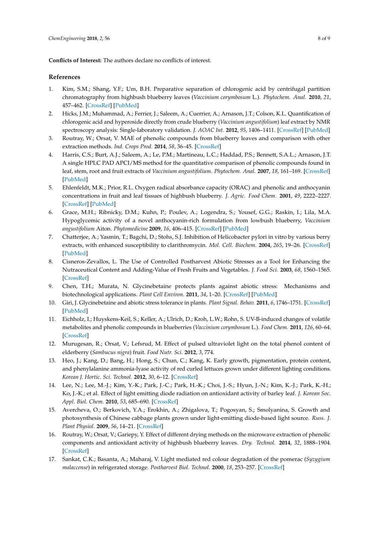**Conflicts of Interest:** The authors declare no conflicts of interest.

# **References**

- <span id="page-7-0"></span>1. Kim, S.M.; Shang, Y.F.; Um, B.H. Preparative separation of chlorogenic acid by centrifugal partition chromatography from highbush blueberry leaves (*Vaccinium corymbosum* L.). *Phytochem. Anal.* **2010**, *21*, 457–462. [\[CrossRef\]](http://dx.doi.org/10.1002/pca.1218) [\[PubMed\]](http://www.ncbi.nlm.nih.gov/pubmed/20310076)
- <span id="page-7-1"></span>2. Hicks, J.M.; Muhammad, A.; Ferrier, J.; Saleem, A.; Cuerrier, A.; Arnason, J.T.; Colson, K.L. Quantification of chlorogenic acid and hyperoside directly from crude blueberry (*Vaccinium angustifolium*) leaf extract by NMR spectroscopy analysis: Single-laboratory validation. *J. AOAC Int.* **2012**, *95*, 1406–1411. [\[CrossRef\]](http://dx.doi.org/10.5740/jaoacint.11-415) [\[PubMed\]](http://www.ncbi.nlm.nih.gov/pubmed/23175973)
- <span id="page-7-2"></span>3. Routray, W.; Orsat, V. MAE of phenolic compounds from blueberry leaves and comparison with other extraction methods. *Ind. Crops Prod.* **2014**, *58*, 36–45. [\[CrossRef\]](http://dx.doi.org/10.1016/j.indcrop.2014.03.038)
- <span id="page-7-3"></span>4. Harris, C.S.; Burt, A.J.; Saleem, A.; Le, P.M.; Martineau, L.C.; Haddad, P.S.; Bennett, S.A.L.; Arnason, J.T. A single HPLC PAD APCI/MS method for the quantitative comparison of phenolic compounds found in leaf, stem, root and fruit extracts of *Vaccinium angustifolium*. *Phytochem. Anal.* **2007**, *18*, 161–169. [\[CrossRef\]](http://dx.doi.org/10.1002/pca.970) [\[PubMed\]](http://www.ncbi.nlm.nih.gov/pubmed/17439018)
- <span id="page-7-4"></span>5. Ehlenfeldt, M.K.; Prior, R.L. Oxygen radical absorbance capacity (ORAC) and phenolic and anthocyanin concentrations in fruit and leaf tissues of highbush blueberry. *J. Agric. Food Chem.* **2001**, *49*, 2222–2227. [\[CrossRef\]](http://dx.doi.org/10.1021/jf0013656) [\[PubMed\]](http://www.ncbi.nlm.nih.gov/pubmed/11368580)
- <span id="page-7-5"></span>6. Grace, M.H.; Ribnicky, D.M.; Kuhn, P.; Poulev, A.; Logendra, S.; Yousef, G.G.; Raskin, I.; Lila, M.A. Hypoglycemic activity of a novel anthocyanin-rich formulation from lowbush blueberry, *Vaccinium angustifolium* Aiton. *Phytomedicine* **2009**, *16*, 406–415. [\[CrossRef\]](http://dx.doi.org/10.1016/j.phymed.2009.02.018) [\[PubMed\]](http://www.ncbi.nlm.nih.gov/pubmed/19303751)
- <span id="page-7-6"></span>7. Chatterjee, A.; Yasmin, T.; Bagchi, D.; Stohs, S.J. Inhibition of Helicobacter pylori in vitro by various berry extracts, with enhanced susceptibility to clarithromycin. *Mol. Cell. Biochem.* **2004**, *265*, 19–26. [\[CrossRef\]](http://dx.doi.org/10.1023/B:MCBI.0000044310.92444.ec) [\[PubMed\]](http://www.ncbi.nlm.nih.gov/pubmed/15543930)
- <span id="page-7-7"></span>8. Cisneros-Zevallos, L. The Use of Controlled Postharvest Abiotic Stresses as a Tool for Enhancing the Nutraceutical Content and Adding-Value of Fresh Fruits and Vegetables. *J. Food Sci.* **2003**, *68*, 1560–1565. [\[CrossRef\]](http://dx.doi.org/10.1111/j.1365-2621.2003.tb12291.x)
- <span id="page-7-8"></span>9. Chen, T.H.; Murata, N. Glycinebetaine protects plants against abiotic stress: Mechanisms and biotechnological applications. *Plant Cell Environ.* **2011**, *34*, 1–20. [\[CrossRef\]](http://dx.doi.org/10.1111/j.1365-3040.2010.02232.x) [\[PubMed\]](http://www.ncbi.nlm.nih.gov/pubmed/20946588)
- <span id="page-7-9"></span>10. Giri, J. Glycinebetaine and abiotic stress tolerance in plants. *Plant Signal. Behav.* **2011**, *6*, 1746–1751. [\[CrossRef\]](http://dx.doi.org/10.4161/psb.6.11.17801) [\[PubMed\]](http://www.ncbi.nlm.nih.gov/pubmed/22057338)
- <span id="page-7-10"></span>11. Eichholz, I.; Huyskens-Keil, S.; Keller, A.; Ulrich, D.; Kroh, L.W.; Rohn, S. UV-B-induced changes of volatile metabolites and phenolic compounds in blueberries (*Vaccinium corymbosum* L.). *Food Chem.* **2011**, *126*, 60–64. [\[CrossRef\]](http://dx.doi.org/10.1016/j.foodchem.2010.10.071)
- <span id="page-7-11"></span>12. Murugesan, R.; Orsat, V.; Lefsrud, M. Effect of pulsed ultraviolet light on the total phenol content of elderberry (*Sambucus nigra*) fruit. *Food Nutr. Sci.* **2012**, *3*, 774.
- <span id="page-7-12"></span>13. Heo, J.; Kang, D.; Bang, H.; Hong, S.; Chun, C.; Kang, K. Early growth, pigmentation, protein content, and phenylalanine ammonia-lyase activity of red curled lettuces grown under different lighting conditions. *Korean J. Hortic. Sci. Technol.* **2012**, *30*, 6–12. [\[CrossRef\]](http://dx.doi.org/10.7235/hort.2012.11118)
- <span id="page-7-13"></span>14. Lee, N.; Lee, M.-J.; Kim, Y.-K.; Park, J.-C.; Park, H.-K.; Choi, J.-S.; Hyun, J.-N.; Kim, K.-J.; Park, K.-H.; Ko, J.-K.; et al. Effect of light emitting diode radiation on antioxidant activity of barley leaf. *J. Korean Soc. Appl. Biol. Chem.* **2010**, *53*, 685–690. [\[CrossRef\]](http://dx.doi.org/10.3839/jksabc.2010.104)
- <span id="page-7-14"></span>15. Avercheva, O.; Berkovich, Y.A.; Erokhin, A.; Zhigalova, T.; Pogosyan, S.; Smolyanina, S. Growth and photosynthesis of Chinese cabbage plants grown under light-emitting diode-based light source. *Russ. J. Plant Physiol.* **2009**, *56*, 14–21. [\[CrossRef\]](http://dx.doi.org/10.1134/S1021443709010038)
- <span id="page-7-15"></span>16. Routray, W.; Orsat, V.; Gariepy, Y. Effect of different drying methods on the microwave extraction of phenolic components and antioxidant activity of highbush blueberry leaves. *Dry. Technol.* **2014**, *32*, 1888–1904. [\[CrossRef\]](http://dx.doi.org/10.1080/07373937.2014.919002)
- <span id="page-7-16"></span>17. Sankat, C.K.; Basanta, A.; Maharaj, V. Light mediated red colour degradation of the pomerac (*Syzygium malaccense*) in refrigerated storage. *Postharvest Biol. Technol.* **2000**, *18*, 253–257. [\[CrossRef\]](http://dx.doi.org/10.1016/S0925-5214(99)00081-2)